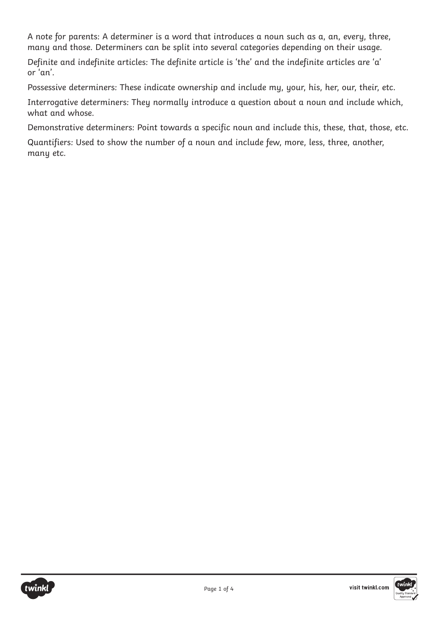A note for parents: A determiner is a word that introduces a noun such as a, an, every, three, many and those. Determiners can be split into several categories depending on their usage.

Definite and indefinite articles: The definite article is 'the' and the indefinite articles are 'a' or 'an'.

Possessive determiners: These indicate ownership and include my, your, his, her, our, their, etc.

Interrogative determiners: They normally introduce a question about a noun and include which, what and whose.

Demonstrative determiners: Point towards a specific noun and include this, these, that, those, etc.

Quantifiers: Used to show the number of a noun and include few, more, less, three, another, many etc.

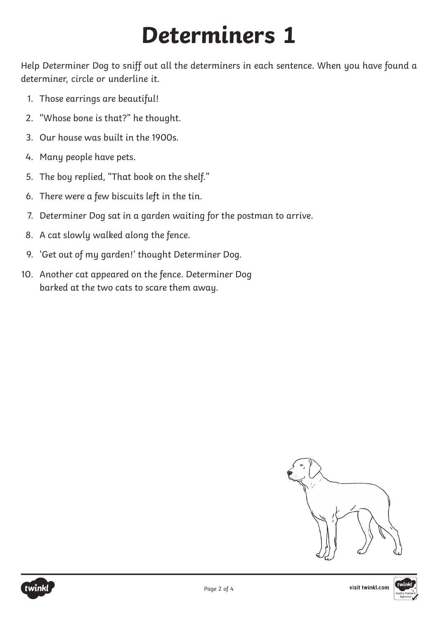## **Determiners 1**

Help Determiner Dog to sniff out all the determiners in each sentence. When you have found a determiner, circle or underline it.

- 1. Those earrings are beautiful!
- 2. "Whose bone is that?" he thought.
- 3. Our house was built in the 1900s.
- 4. Many people have pets.
- 5. The boy replied, "That book on the shelf."
- 6. There were a few biscuits left in the tin.
- 7. Determiner Dog sat in a garden waiting for the postman to arrive.
- 8. A cat slowly walked along the fence.
- 9. 'Get out of my garden!' thought Determiner Dog.
- 10. Another cat appeared on the fence. Determiner Dog barked at the two cats to scare them away.



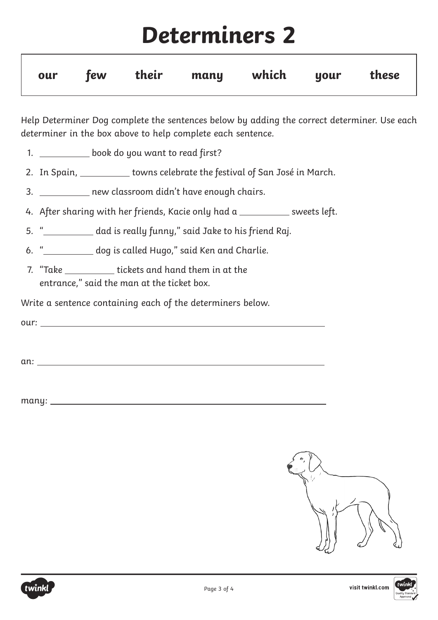## **Determiners 2**

|  |  | our few their many which your these |  |  |
|--|--|-------------------------------------|--|--|
|  |  |                                     |  |  |

Help Determiner Dog complete the sentences below by adding the correct determiner. Use each determiner in the box above to help complete each sentence.

- 1. \_\_\_\_\_\_\_\_\_\_\_ book do you want to read first?
- 2. In Spain, subsetive towns celebrate the festival of San José in March.
- 3. \_\_\_\_\_\_\_\_\_\_ new classroom didn't have enough chairs.
- 4. After sharing with her friends, Kacie only had a subsequents left.
- 5. "
said Jake to his friend Raj.
- 6. " **Comparent Edge is called Hugo,**" said Ken and Charlie.
- 7. "Take \_\_\_\_\_\_\_\_\_\_\_\_ tickets and hand them in at the entrance," said the man at the ticket box.

Write a sentence containing each of the determiners below.

our: when the contract of the contract of the contract of the contract of the contract of the contract of the contract of the contract of the contract of the contract of the contract of the contract of the contract of the

an:

many: